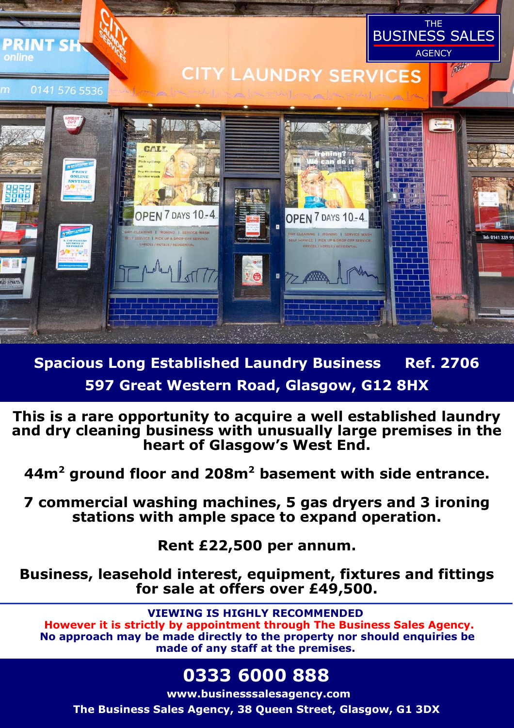

**Spacious Long Established Laundry Business Ref. 2706 597 Great Western Road, Glasgow, G12 8HX** 

**This is a rare opportunity to acquire a well established laundry and dry cleaning business with unusually large premises in the heart of Glasgow's West End.** 

**44m<sup>2</sup> ground floor and 208m<sup>2</sup> basement with side entrance.** 

**7 commercial washing machines, 5 gas dryers and 3 ironing stations with ample space to expand operation.** 

**Rent £22,500 per annum.** 

**Business, leasehold interest, equipment, fixtures and fittings for sale at offers over £49,500.** 

**VIEWING IS HIGHLY RECOMMENDED However it is strictly by appointment through The Business Sales Agency. No approach may be made directly to the property nor should enquiries be made of any staff at the premises.** 

# **0333 6000 888**

**www.businesssalesagency.com The Business Sales Agency, 38 Queen Street, Glasgow, G1 3DX**